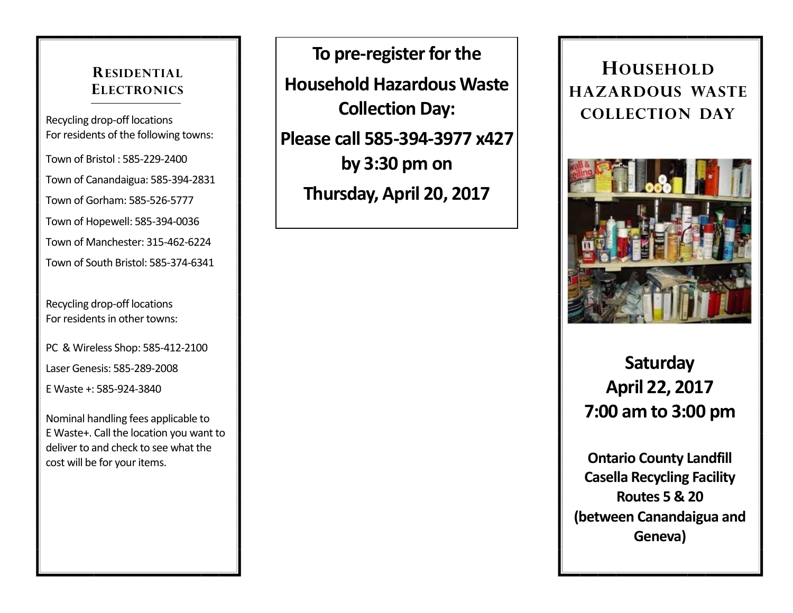### **RESIDENTIAL ELECTRONICS**

Recycling drop-off locations For residents of the following towns:

Town of Bristol : 585-229-2400

Town of Canandaigua: 585-394-2831

Town of Gorham: 585-526-5777

Town of Hopewell: 585-394-0036

Town of Manchester: 315-462-6224

Town of South Bristol: 585-374-6341

Recycling drop-off locations For residents in other towns:

PC & Wireless Shop: 585-412-2100

Laser Genesis: 585-289-2008

E Waste +: 585-924-3840

Nominal handling fees applicable to E Waste+. Call the location you want to deliver to and check to see what the cost will be for your items.

**To pre-register for the Household Hazardous Waste Collection Day: Please call 585-394-3977 x427 by 3:30 pm on Thursday, April 20, 2017**

## **HOUSEHOLD HAZARDOUS WASTE COLLECTION DAY**



# **Saturday April 22, 2017 7:00 am to 3:00 pm**

**Ontario County Landfill Casella Recycling Facility Routes 5 & 20 (between Canandaigua and Geneva)**